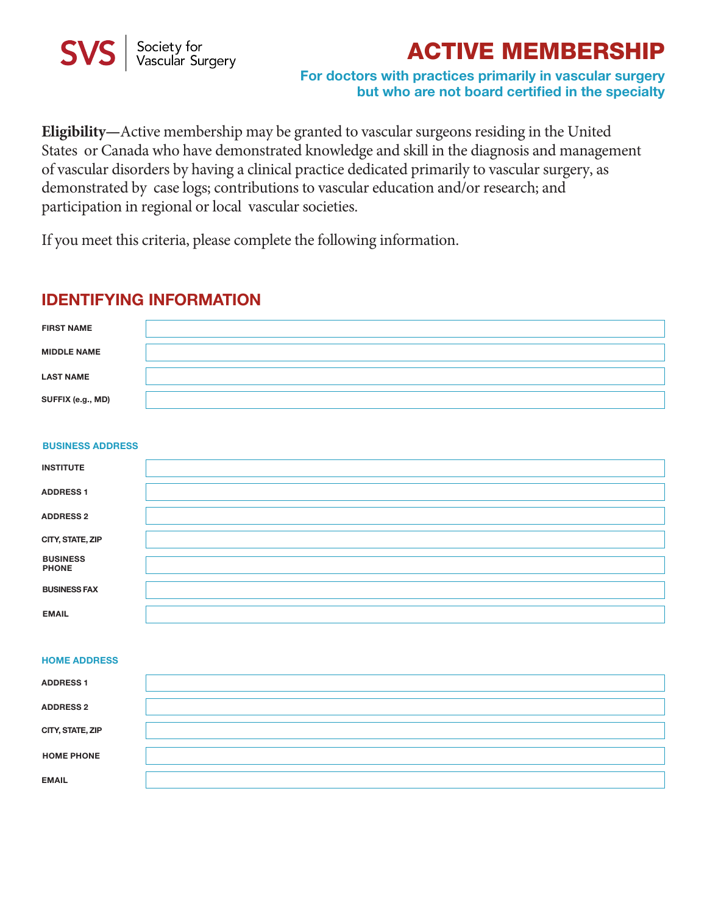

# **ACTIVE MEMBERSHIP**

### **For doctors with practices primarily in vascular surgery but who are not board certified in the specialty**

**Eligibility—**Active membership may be granted to vascular surgeons residing in the United States or Canada who have demonstrated knowledge and skill in the diagnosis and management of vascular disorders by having a clinical practice dedicated primarily to vascular surgery, as demonstrated by case logs; contributions to vascular education and/or research; and participation in regional or local vascular societies.

If you meet this criteria, please complete the following information.

# **IDENTIFYING INFORMATION**

| <b>FIRST NAME</b>  |  |
|--------------------|--|
| <b>MIDDLE NAME</b> |  |
| <b>LAST NAME</b>   |  |
| SUFFIX (e.g., MD)  |  |

#### **BUSINESS ADDRESS**

| <b>INSTITUTE</b>                |  |
|---------------------------------|--|
| <b>ADDRESS 1</b>                |  |
| <b>ADDRESS 2</b>                |  |
| CITY, STATE, ZIP                |  |
| <b>BUSINESS</b><br><b>PHONE</b> |  |
| <b>BUSINESS FAX</b>             |  |
| <b>EMAIL</b>                    |  |

#### **HOME ADDRESS**

| <b>ADDRESS1</b>   |  |
|-------------------|--|
| <b>ADDRESS 2</b>  |  |
| CITY, STATE, ZIP  |  |
| <b>HOME PHONE</b> |  |
| <b>EMAIL</b>      |  |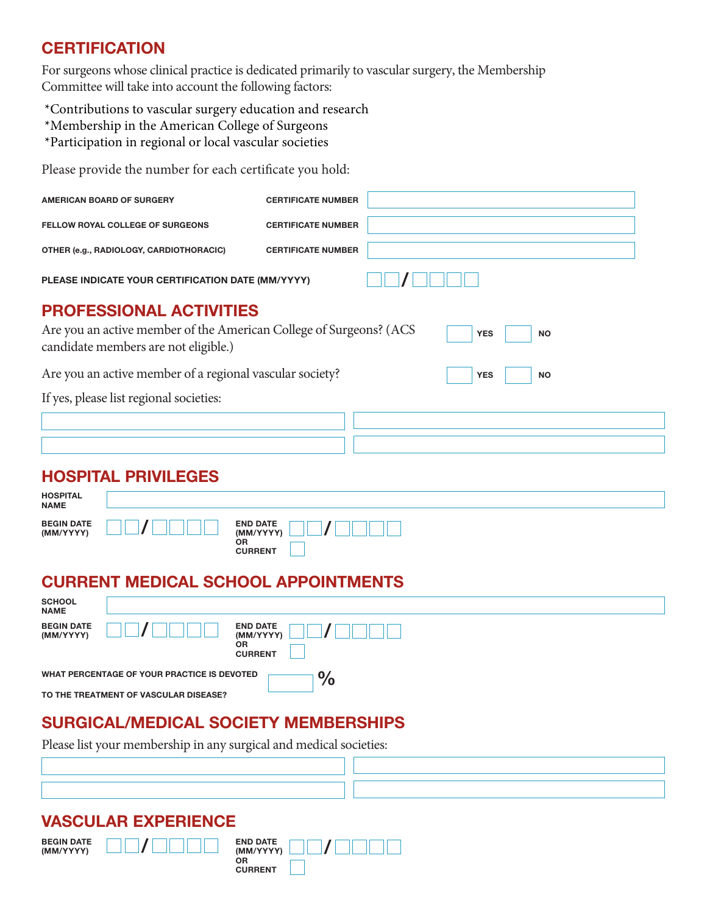# **CERTIFICATION**

For surgeons whose clinical practice is dedicated primarily to vascular surgery, the Membership Committee will take into account the following factors:

\*Contributions to vascular surgery education and research

\*Membership in the American College of Surgeons

\*Participation in regional or local vascular societies

Please provide the number for each certificate you hold:

| <b>AMERICAN BOARD OF SURGERY</b>                                                                                                             | <b>CERTIFICATE NUMBER</b> |            |            |           |
|----------------------------------------------------------------------------------------------------------------------------------------------|---------------------------|------------|------------|-----------|
| <b>FELLOW ROYAL COLLEGE OF SURGEONS</b>                                                                                                      | <b>CERTIFICATE NUMBER</b> |            |            |           |
| OTHER (e.g., RADIOLOGY, CARDIOTHORACIC)                                                                                                      | <b>CERTIFICATE NUMBER</b> |            |            |           |
| PLEASE INDICATE YOUR CERTIFICATION DATE (MM/YYYY)                                                                                            |                           |            |            |           |
| <b>PROFESSIONAL ACTIVITIES</b><br>Are you an active member of the American College of Surgeons? (ACS<br>candidate members are not eligible.) |                           |            | <b>YES</b> | <b>NO</b> |
| Are you an active member of a regional vascular society?                                                                                     |                           | <b>YES</b> | <b>NO</b>  |           |
| If yes, please list regional societies:                                                                                                      |                           |            |            |           |
|                                                                                                                                              |                           |            |            |           |
|                                                                                                                                              |                           |            |            |           |
| <b>HOSPITAL PRIVILEGES</b>                                                                                                                   |                           |            |            |           |
| <b>HOSPITAL</b><br><b>NAME</b>                                                                                                               |                           |            |            |           |

| <b>BEGIN DATE</b><br><b>END DATE</b><br>(MM/YYYY)<br>(MM/YYYY)<br><b>OR</b><br><b>CURRENT</b> |  |
|-----------------------------------------------------------------------------------------------|--|
|-----------------------------------------------------------------------------------------------|--|

## **CURRENT MEDICAL SCHOOL APPOINTMENTS**

| <b>SCHOOL</b><br><b>NAME</b>                                 |                                       |                                    |
|--------------------------------------------------------------|---------------------------------------|------------------------------------|
| <b>BEGIN DATE</b><br>(MM/YYYY)                               |                                       | <b>END DATE</b><br>(MM/YYYY)<br>ОR |
|                                                              |                                       | <b>CURRENT</b>                     |
| WHAT PERCENTAGE OF YOUR PRACTICE IS DEVOTED<br>$\frac{0}{0}$ |                                       |                                    |
|                                                              | TO THE TREATMENT OF VASCULAR DISEASE? |                                    |

# **SURGICAL/MEDICAL SOCIETY MEMBERSHIPS**

Please list your membership in any surgical and medical societies:

## **VASCULAR EXPERIENCE**

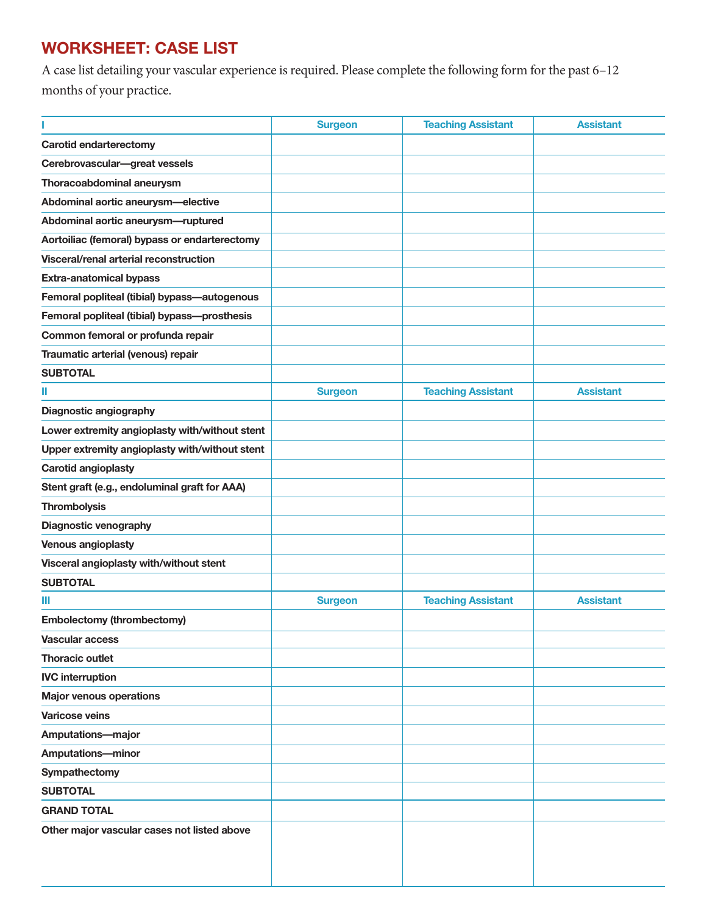# **WORKSHEET: CASE LIST**

A case list detailing your vascular experience is required. Please complete the following form for the past 6–12 months of your practice.

|                                                | <b>Surgeon</b> | <b>Teaching Assistant</b> | <b>Assistant</b> |
|------------------------------------------------|----------------|---------------------------|------------------|
| <b>Carotid endarterectomy</b>                  |                |                           |                  |
| Cerebrovascular-great vessels                  |                |                           |                  |
| Thoracoabdominal aneurysm                      |                |                           |                  |
| Abdominal aortic aneurysm-elective             |                |                           |                  |
| Abdominal aortic aneurysm-ruptured             |                |                           |                  |
| Aortoiliac (femoral) bypass or endarterectomy  |                |                           |                  |
| Visceral/renal arterial reconstruction         |                |                           |                  |
| <b>Extra-anatomical bypass</b>                 |                |                           |                  |
| Femoral popliteal (tibial) bypass-autogenous   |                |                           |                  |
| Femoral popliteal (tibial) bypass-prosthesis   |                |                           |                  |
| Common femoral or profunda repair              |                |                           |                  |
| Traumatic arterial (venous) repair             |                |                           |                  |
| <b>SUBTOTAL</b>                                |                |                           |                  |
| Ш                                              | <b>Surgeon</b> | <b>Teaching Assistant</b> | <b>Assistant</b> |
| Diagnostic angiography                         |                |                           |                  |
| Lower extremity angioplasty with/without stent |                |                           |                  |
| Upper extremity angioplasty with/without stent |                |                           |                  |
| <b>Carotid angioplasty</b>                     |                |                           |                  |
| Stent graft (e.g., endoluminal graft for AAA)  |                |                           |                  |
| <b>Thrombolysis</b>                            |                |                           |                  |
| Diagnostic venography                          |                |                           |                  |
| <b>Venous angioplasty</b>                      |                |                           |                  |
| Visceral angioplasty with/without stent        |                |                           |                  |
| <b>SUBTOTAL</b>                                |                |                           |                  |
| Ш                                              | <b>Surgeon</b> | <b>Teaching Assistant</b> | <b>Assistant</b> |
| <b>Embolectomy (thrombectomy)</b>              |                |                           |                  |
| <b>Vascular access</b>                         |                |                           |                  |
| <b>Thoracic outlet</b>                         |                |                           |                  |
| <b>IVC</b> interruption                        |                |                           |                  |
| <b>Major venous operations</b>                 |                |                           |                  |
| <b>Varicose veins</b>                          |                |                           |                  |
| <b>Amputations-major</b>                       |                |                           |                  |
| <b>Amputations-minor</b>                       |                |                           |                  |
| Sympathectomy                                  |                |                           |                  |
| <b>SUBTOTAL</b>                                |                |                           |                  |
| <b>GRAND TOTAL</b>                             |                |                           |                  |
| Other major vascular cases not listed above    |                |                           |                  |
|                                                |                |                           |                  |
|                                                |                |                           |                  |
|                                                |                |                           |                  |